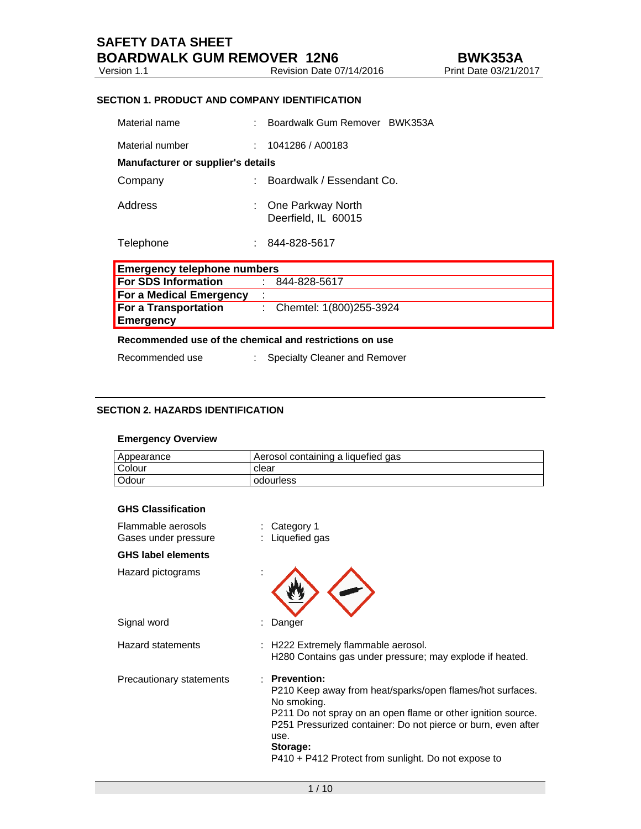# **SECTION 1. PRODUCT AND COMPANY IDENTIFICATION**

| <b>Emergency telephone numbers</b> |  |                                          |
|------------------------------------|--|------------------------------------------|
| Telephone                          |  | 844-828-5617                             |
| Address                            |  | One Parkway North<br>Deerfield, IL 60015 |
| Company                            |  | Boardwalk / Essendant Co.                |
| Manufacturer or supplier's details |  |                                          |
| Material number                    |  | 1041286 / A00183                         |
| Material name                      |  | Boardwalk Gum Remover BWK353A            |

| Elliergency releptione numbers |  |                           |
|--------------------------------|--|---------------------------|
| <b>For SDS Information</b>     |  | : 844-828-5617            |
| <b>For a Medical Emergency</b> |  |                           |
| <b>For a Transportation</b>    |  | : Chemtel: 1(800)255-3924 |
| <b>Emergency</b>               |  |                           |

#### **Recommended use of the chemical and restrictions on use**

Recommended use : Specialty Cleaner and Remover

# **SECTION 2. HAZARDS IDENTIFICATION**

# **Emergency Overview**

| Appearance    | Aerosol containing a liquefied gas |
|---------------|------------------------------------|
| <b>Colour</b> | clear                              |
| l Odour       | odourless                          |

# **GHS Classification**

| Flammable aerosols<br>Gases under pressure | Category 1<br>: Liquefied gas                                                                                                                                                                                                                                                                         |
|--------------------------------------------|-------------------------------------------------------------------------------------------------------------------------------------------------------------------------------------------------------------------------------------------------------------------------------------------------------|
| <b>GHS label elements</b>                  |                                                                                                                                                                                                                                                                                                       |
| Hazard pictograms                          |                                                                                                                                                                                                                                                                                                       |
| Signal word                                | Danger                                                                                                                                                                                                                                                                                                |
| <b>Hazard statements</b>                   | : H222 Extremely flammable aerosol.<br>H280 Contains gas under pressure; may explode if heated.                                                                                                                                                                                                       |
| Precautionary statements                   | : Prevention:<br>P210 Keep away from heat/sparks/open flames/hot surfaces.<br>No smoking.<br>P211 Do not spray on an open flame or other ignition source.<br>P251 Pressurized container: Do not pierce or burn, even after<br>use.<br>Storage:<br>P410 + P412 Protect from sunlight. Do not expose to |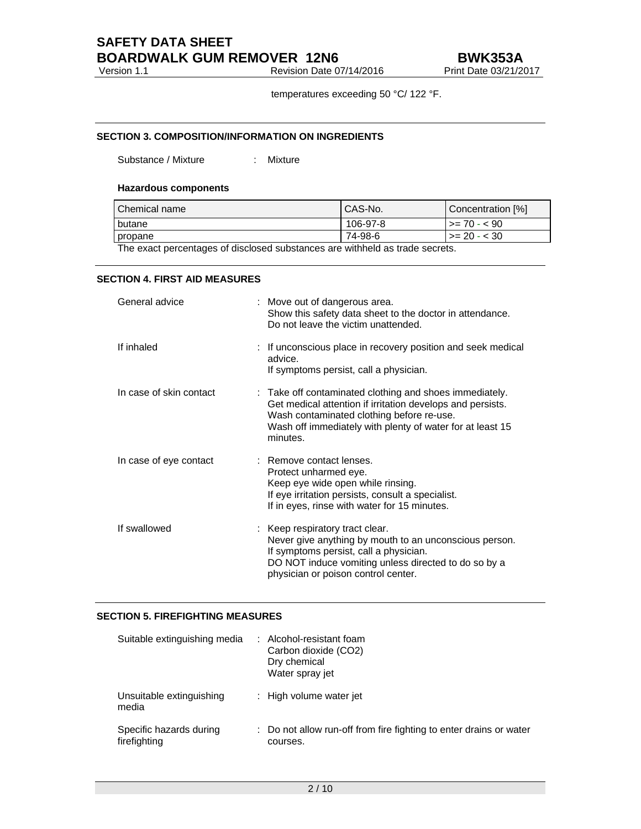# **SAFETY DATA SHEET BOARDWALK GUM REMOVER 12N6**<br>Revision Date 07/14/2016 Print Date 03/21/2

Version 1.1 **Next** Revision Date 07/14/2016 **Print Date 03/21/2017** 

temperatures exceeding 50 °C/ 122 °F.

# **SECTION 3. COMPOSITION/INFORMATION ON INGREDIENTS**

Substance / Mixture : Mixture

# **Hazardous components**

| l Chemical name               | CAS-No.  | Concentration [%] |
|-------------------------------|----------|-------------------|
| <b>butane</b>                 | 106-97-8 | $>= 70 - 590$     |
| propane                       | 74-98-6  | $\ge$ 20 - < 30   |
| .<br>$\overline{\phantom{a}}$ |          |                   |

The exact percentages of disclosed substances are withheld as trade secrets.

# **SECTION 4. FIRST AID MEASURES**

| General advice          | : Move out of dangerous area.<br>Show this safety data sheet to the doctor in attendance.<br>Do not leave the victim unattended.                                                                                                            |
|-------------------------|---------------------------------------------------------------------------------------------------------------------------------------------------------------------------------------------------------------------------------------------|
| If inhaled              | : If unconscious place in recovery position and seek medical<br>advice.<br>If symptoms persist, call a physician.                                                                                                                           |
| In case of skin contact | : Take off contaminated clothing and shoes immediately.<br>Get medical attention if irritation develops and persists.<br>Wash contaminated clothing before re-use.<br>Wash off immediately with plenty of water for at least 15<br>minutes. |
| In case of eye contact  | : Remove contact lenses.<br>Protect unharmed eye.<br>Keep eye wide open while rinsing.<br>If eye irritation persists, consult a specialist.<br>If in eyes, rinse with water for 15 minutes.                                                 |
| If swallowed            | : Keep respiratory tract clear.<br>Never give anything by mouth to an unconscious person.<br>If symptoms persist, call a physician.<br>DO NOT induce vomiting unless directed to do so by a<br>physician or poison control center.          |

# **SECTION 5. FIREFIGHTING MEASURES**

| Suitable extinguishing media            | : Alcohol-resistant foam<br>Carbon dioxide (CO2)<br>Dry chemical<br>Water spray jet |
|-----------------------------------------|-------------------------------------------------------------------------------------|
| Unsuitable extinguishing<br>media       | : High volume water jet                                                             |
| Specific hazards during<br>firefighting | Do not allow run-off from fire fighting to enter drains or water<br>courses.        |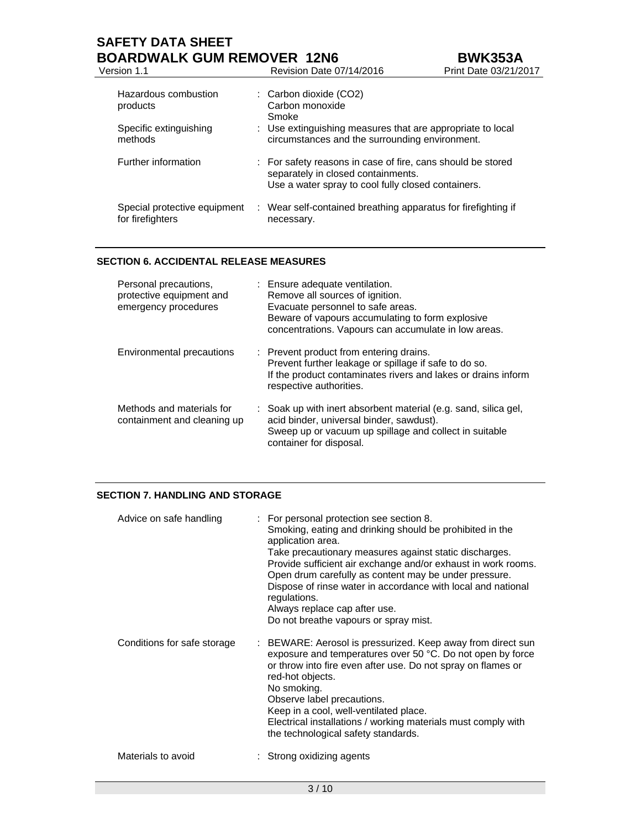# **SAFETY DATA SHEET BOARDWALK GUM REMOVER 12N6**<br>Version 1.1 Revision Date 07/14/2016 Print Date 03/21/2017 Version 1.1 **Review Area**

| Hazardous combustion<br>products<br>Specific extinguishing<br>methods | $\therefore$ Carbon dioxide (CO2)<br>Carbon monoxide<br>Smoke<br>: Use extinguishing measures that are appropriate to local<br>circumstances and the surrounding environment. |
|-----------------------------------------------------------------------|-------------------------------------------------------------------------------------------------------------------------------------------------------------------------------|
| <b>Further information</b>                                            | : For safety reasons in case of fire, cans should be stored<br>separately in closed containments.<br>Use a water spray to cool fully closed containers.                       |
| Special protective equipment<br>for firefighters                      | : Wear self-contained breathing apparatus for firefighting if<br>necessary.                                                                                                   |

# **SECTION 6. ACCIDENTAL RELEASE MEASURES**

| Personal precautions,<br>protective equipment and<br>emergency procedures | : Ensure adequate ventilation.<br>Remove all sources of ignition.<br>Evacuate personnel to safe areas.<br>Beware of vapours accumulating to form explosive<br>concentrations. Vapours can accumulate in low areas. |
|---------------------------------------------------------------------------|--------------------------------------------------------------------------------------------------------------------------------------------------------------------------------------------------------------------|
| Environmental precautions                                                 | : Prevent product from entering drains.<br>Prevent further leakage or spillage if safe to do so.<br>If the product contaminates rivers and lakes or drains inform<br>respective authorities.                       |
| Methods and materials for<br>containment and cleaning up                  | : Soak up with inert absorbent material (e.g. sand, silica gel,<br>acid binder, universal binder, sawdust).<br>Sweep up or vacuum up spillage and collect in suitable<br>container for disposal.                   |

# **SECTION 7. HANDLING AND STORAGE**

| Advice on safe handling     | : For personal protection see section 8.<br>Smoking, eating and drinking should be prohibited in the<br>application area.<br>Take precautionary measures against static discharges.<br>Provide sufficient air exchange and/or exhaust in work rooms.<br>Open drum carefully as content may be under pressure.<br>Dispose of rinse water in accordance with local and national<br>regulations.<br>Always replace cap after use.<br>Do not breathe vapours or spray mist. |
|-----------------------------|-------------------------------------------------------------------------------------------------------------------------------------------------------------------------------------------------------------------------------------------------------------------------------------------------------------------------------------------------------------------------------------------------------------------------------------------------------------------------|
| Conditions for safe storage | : BEWARE: Aerosol is pressurized. Keep away from direct sun<br>exposure and temperatures over 50 °C. Do not open by force<br>or throw into fire even after use. Do not spray on flames or<br>red-hot objects.<br>No smoking.<br>Observe label precautions.<br>Keep in a cool, well-ventilated place.<br>Electrical installations / working materials must comply with<br>the technological safety standards.                                                            |
| Materials to avoid          | : Strong oxidizing agents                                                                                                                                                                                                                                                                                                                                                                                                                                               |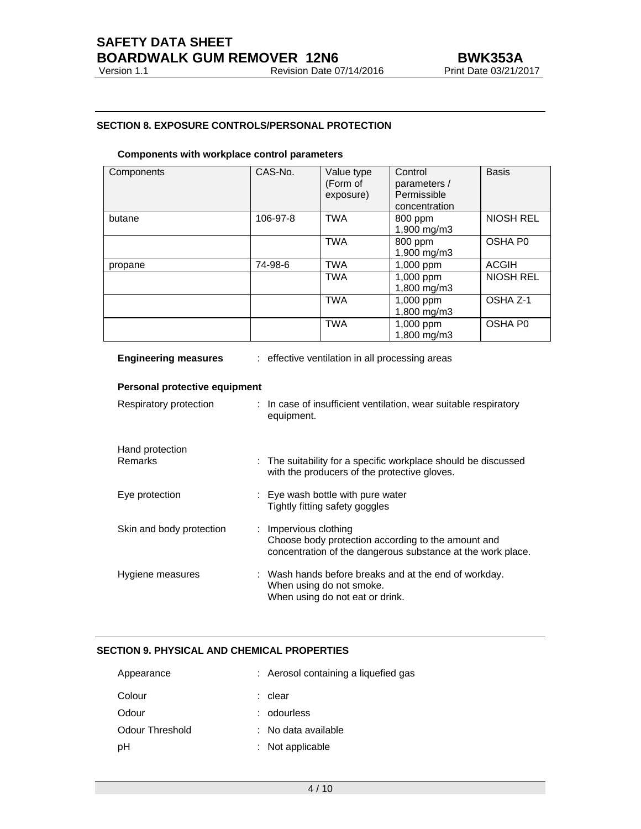# **SAFETY DATA SHEET BOARDWALK GUM REMOVER 12N6**<br>Version 1.1 Revision Date 07/14/2016 Print Date 03/21/2017

# **SECTION 8. EXPOSURE CONTROLS/PERSONAL PROTECTION**

## **Components with workplace control parameters**

| Components | CAS-No.  | Value type<br>(Form of<br>exposure) | Control<br>parameters /<br>Permissible<br>concentration | <b>Basis</b>        |
|------------|----------|-------------------------------------|---------------------------------------------------------|---------------------|
| butane     | 106-97-8 | <b>TWA</b>                          | 800 ppm<br>1,900 mg/m3                                  | <b>NIOSH REL</b>    |
|            |          | <b>TWA</b>                          | 800 ppm<br>1,900 mg/m3                                  | OSHA P <sub>0</sub> |
| propane    | 74-98-6  | <b>TWA</b>                          | $1,000$ ppm                                             | <b>ACGIH</b>        |
|            |          | <b>TWA</b>                          | $1,000$ ppm<br>1,800 mg/m3                              | <b>NIOSH REL</b>    |
|            |          | <b>TWA</b>                          | $1,000$ ppm<br>1,800 mg/m3                              | OSHA Z-1            |
|            |          | <b>TWA</b>                          | 1,000 ppm<br>1,800 mg/m3                                | OSHA P <sub>0</sub> |

| <b>Engineering measures</b>       | : effective ventilation in all processing areas                                                                                            |
|-----------------------------------|--------------------------------------------------------------------------------------------------------------------------------------------|
| Personal protective equipment     |                                                                                                                                            |
| Respiratory protection            | : In case of insufficient ventilation, wear suitable respiratory<br>equipment.                                                             |
| Hand protection<br><b>Remarks</b> | : The suitability for a specific workplace should be discussed<br>with the producers of the protective gloves.                             |
| Eye protection                    | : Eye wash bottle with pure water<br>Tightly fitting safety goggles                                                                        |
| Skin and body protection          | : Impervious clothing<br>Choose body protection according to the amount and<br>concentration of the dangerous substance at the work place. |
| Hygiene measures                  | : Wash hands before breaks and at the end of workday.<br>When using do not smoke.<br>When using do not eat or drink.                       |

# **SECTION 9. PHYSICAL AND CHEMICAL PROPERTIES**

| : Aerosol containing a liquefied gas |
|--------------------------------------|
| : clear                              |
| : odourless                          |
| : No data available                  |
| $:$ Not applicable                   |
|                                      |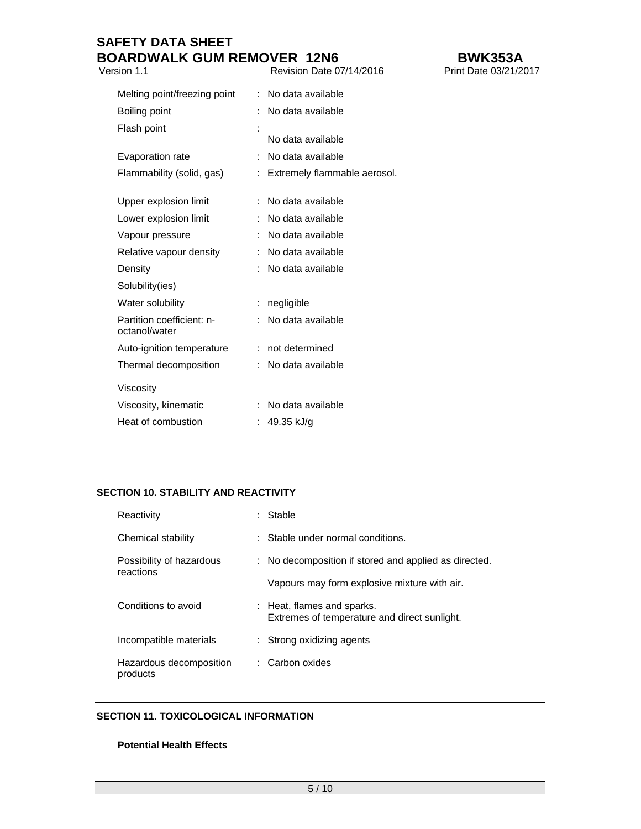# **SAFETY DATA SHEET BOARDWALK GUM REMOVER 12N6**<br>Version 1.1 Revision Date 07/14/2016 Print Date 03/21/2017

Version 1.1 Revision Date 07/14/2016

| Melting point/freezing point               |   | No data available            |
|--------------------------------------------|---|------------------------------|
| Boiling point                              |   | No data available            |
| Flash point                                |   | No data available            |
| Evaporation rate                           | ÷ | No data available            |
| Flammability (solid, gas)                  |   | Extremely flammable aerosol. |
| Upper explosion limit                      |   | No data available            |
| Lower explosion limit                      |   | No data available            |
| Vapour pressure                            |   | No data available            |
| Relative vapour density                    |   | No data available            |
| Density                                    |   | No data available            |
| Solubility(ies)                            |   |                              |
| Water solubility                           | ÷ | negligible                   |
| Partition coefficient: n-<br>octanol/water |   | No data available            |
| Auto-ignition temperature                  |   | not determined               |
| Thermal decomposition                      |   | No data available            |
| Viscosity                                  |   |                              |
| Viscosity, kinematic                       |   | No data available            |
| Heat of combustion                         |   | 49.35 kJ/g                   |

# **SECTION 10. STABILITY AND REACTIVITY**

| Reactivity                            | Stable                                                                     |
|---------------------------------------|----------------------------------------------------------------------------|
| Chemical stability                    | : Stable under normal conditions.                                          |
| Possibility of hazardous<br>reactions | : No decomposition if stored and applied as directed.                      |
|                                       | Vapours may form explosive mixture with air.                               |
| Conditions to avoid                   | : Heat, flames and sparks.<br>Extremes of temperature and direct sunlight. |
| Incompatible materials                | : Strong oxidizing agents                                                  |
| Hazardous decomposition<br>products   | : Carbon oxides                                                            |

# **SECTION 11. TOXICOLOGICAL INFORMATION**

# **Potential Health Effects**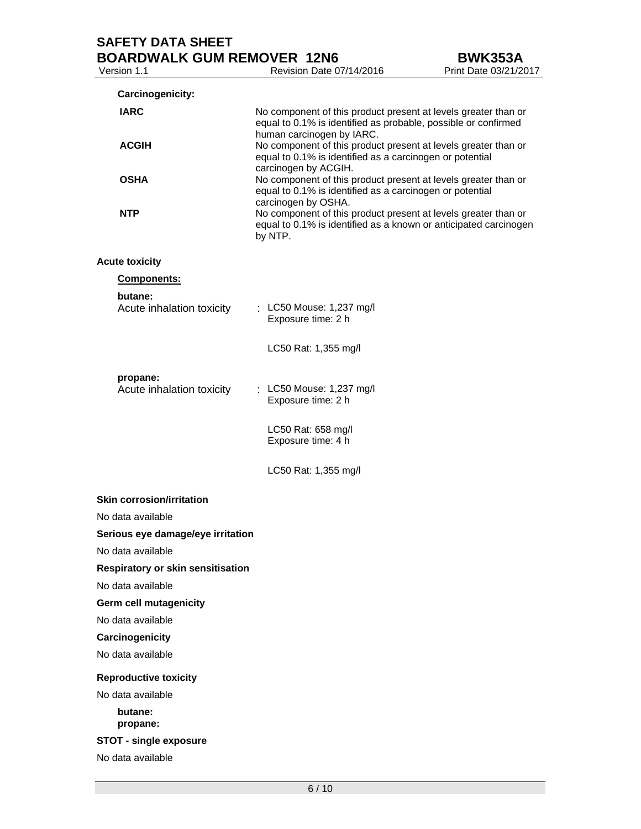|                       | Carcinogenicity:                      |                                                                                                                                                               |
|-----------------------|---------------------------------------|---------------------------------------------------------------------------------------------------------------------------------------------------------------|
| <b>IARC</b>           |                                       | No component of this product present at levels greater than or<br>equal to 0.1% is identified as probable, possible or confirmed<br>human carcinogen by IARC. |
|                       | <b>ACGIH</b>                          | No component of this product present at levels greater than or<br>equal to 0.1% is identified as a carcinogen or potential<br>carcinogen by ACGIH.            |
| <b>OSHA</b>           |                                       | No component of this product present at levels greater than or<br>equal to 0.1% is identified as a carcinogen or potential<br>carcinogen by OSHA.             |
| <b>NTP</b>            |                                       | No component of this product present at levels greater than or<br>equal to 0.1% is identified as a known or anticipated carcinogen<br>by NTP.                 |
| <b>Acute toxicity</b> |                                       |                                                                                                                                                               |
|                       | <b>Components:</b>                    |                                                                                                                                                               |
|                       | butane:<br>Acute inhalation toxicity  | : LC50 Mouse: 1,237 mg/l<br>Exposure time: 2 h                                                                                                                |
|                       |                                       | LC50 Rat: 1,355 mg/l                                                                                                                                          |
|                       | propane:<br>Acute inhalation toxicity | : LC50 Mouse: 1,237 mg/l<br>Exposure time: 2 h                                                                                                                |

 LC50 Rat: 658 mg/l Exposure time: 4 h

LC50 Rat: 1,355 mg/l

#### **Skin corrosion/irritation**

No data available

# **Serious eye damage/eye irritation**

No data available

**Respiratory or skin sensitisation** 

No data available

**Germ cell mutagenicity** 

No data available

**Carcinogenicity** 

No data available

# **Reproductive toxicity**

No data available

**butane: propane:** 

**STOT - single exposure** 

No data available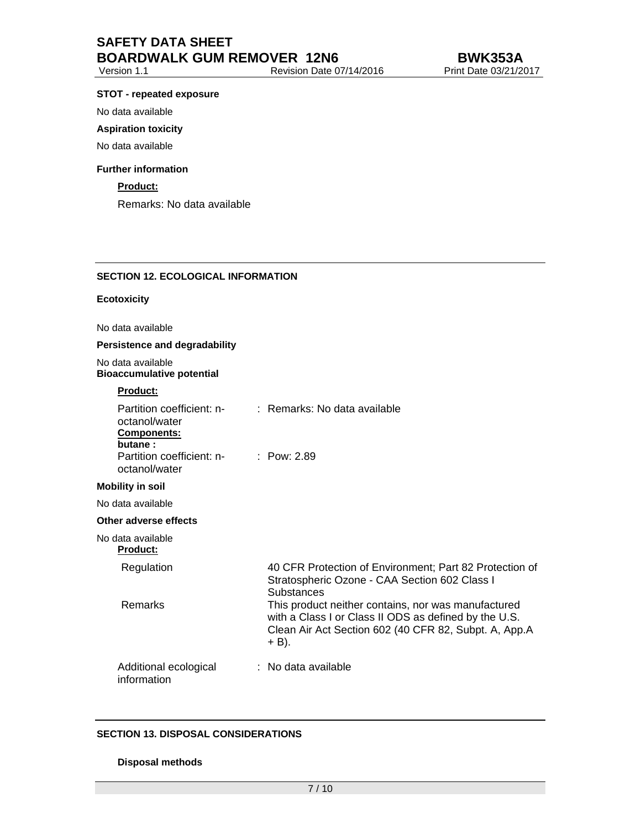#### **STOT - repeated exposure**

No data available

#### **Aspiration toxicity**

No data available

#### **Further information**

# **Product:**

Remarks: No data available

# **SECTION 12. ECOLOGICAL INFORMATION**

#### **Ecotoxicity**

No data available

#### **Persistence and degradability**

No data available

# **Bioaccumulative potential Product:**  Partition coefficient: noctanol/water : Remarks: No data available **Components: butane :**  Partition coefficient: noctanol/water : Pow: 2.89 **Mobility in soil**  No data available **Other adverse effects**  No data available **Product:**  Regulation 40 CFR Protection of Environment; Part 82 Protection of Stratospheric Ozone - CAA Section 602 Class I **Substances** Remarks This product neither contains, nor was manufactured with a Class I or Class II ODS as defined by the U.S. Clean Air Act Section 602 (40 CFR 82, Subpt. A, App.A  $+$  B).

#### Additional ecological information : No data available

# **SECTION 13. DISPOSAL CONSIDERATIONS**

#### **Disposal methods**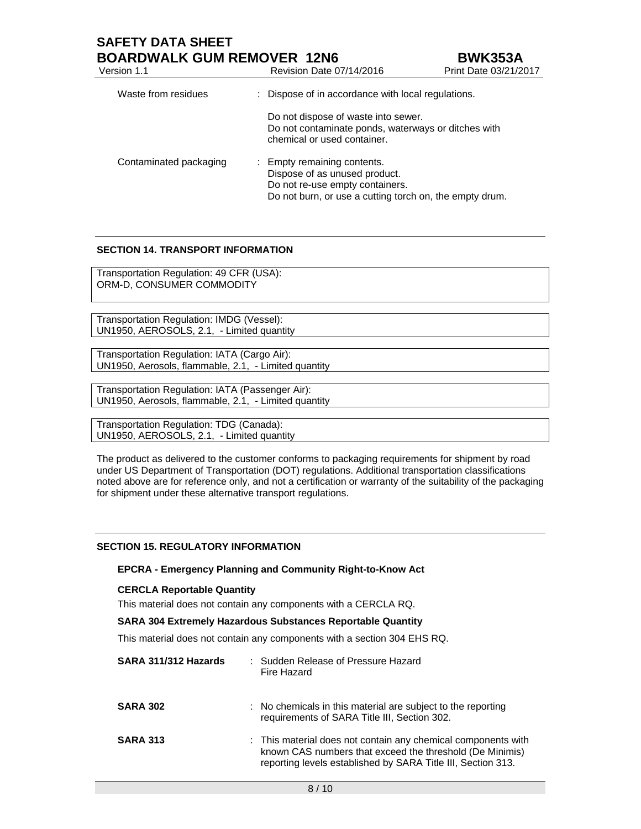# **SAFETY DATA SHEET**

| <b>BOARDWALK GUM REMOVER 12N6</b><br><b>BWK353A</b> |                                                                                                                                                            |                       |
|-----------------------------------------------------|------------------------------------------------------------------------------------------------------------------------------------------------------------|-----------------------|
| Version 1.1                                         | Revision Date 07/14/2016                                                                                                                                   | Print Date 03/21/2017 |
| Waste from residues                                 | : Dispose of in accordance with local regulations.                                                                                                         |                       |
|                                                     | Do not dispose of waste into sewer.<br>Do not contaminate ponds, waterways or ditches with<br>chemical or used container.                                  |                       |
| Contaminated packaging                              | : Empty remaining contents.<br>Dispose of as unused product.<br>Do not re-use empty containers.<br>Do not burn, or use a cutting torch on, the empty drum. |                       |

# **SECTION 14. TRANSPORT INFORMATION**

Transportation Regulation: 49 CFR (USA): ORM-D, CONSUMER COMMODITY

Transportation Regulation: IMDG (Vessel): UN1950, AEROSOLS, 2.1, - Limited quantity

Transportation Regulation: IATA (Cargo Air): UN1950, Aerosols, flammable, 2.1, - Limited quantity

Transportation Regulation: IATA (Passenger Air): UN1950, Aerosols, flammable, 2.1, - Limited quantity

Transportation Regulation: TDG (Canada): UN1950, AEROSOLS, 2.1, - Limited quantity

The product as delivered to the customer conforms to packaging requirements for shipment by road under US Department of Transportation (DOT) regulations. Additional transportation classifications noted above are for reference only, and not a certification or warranty of the suitability of the packaging for shipment under these alternative transport regulations.

# **SECTION 15. REGULATORY INFORMATION**

## **EPCRA - Emergency Planning and Community Right-to-Know Act**

#### **CERCLA Reportable Quantity**

This material does not contain any components with a CERCLA RQ.

# **SARA 304 Extremely Hazardous Substances Reportable Quantity**

This material does not contain any components with a section 304 EHS RQ.

| SARA 311/312 Hazards | : Sudden Release of Pressure Hazard<br>Fire Hazard                                                                                                                                        |
|----------------------|-------------------------------------------------------------------------------------------------------------------------------------------------------------------------------------------|
| <b>SARA 302</b>      | : No chemicals in this material are subject to the reporting<br>requirements of SARA Title III, Section 302.                                                                              |
| <b>SARA 313</b>      | : This material does not contain any chemical components with<br>known CAS numbers that exceed the threshold (De Minimis)<br>reporting levels established by SARA Title III, Section 313. |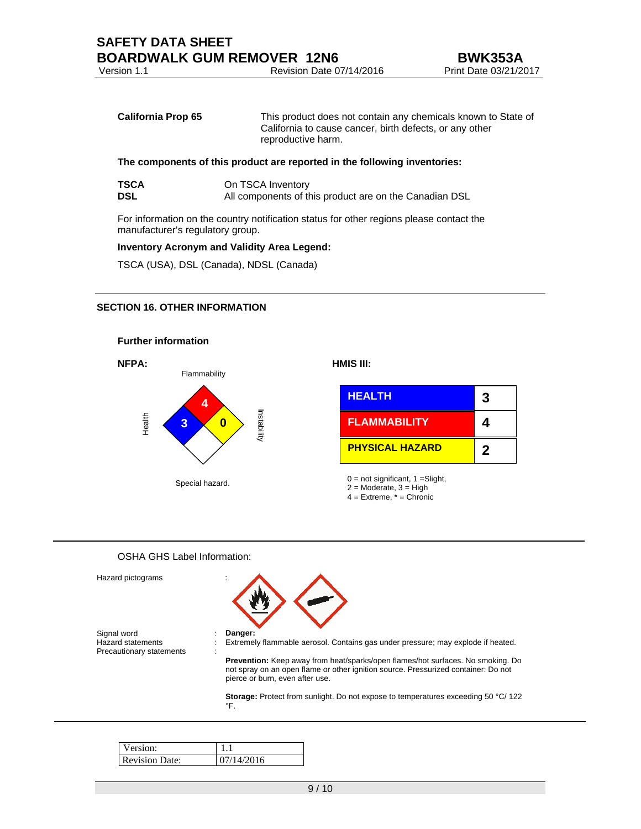| <b>California Prop 65</b> | This product does not contain any chemicals known to State of |
|---------------------------|---------------------------------------------------------------|
|                           | California to cause cancer, birth defects, or any other       |

reproductive harm.

# **The components of this product are reported in the following inventories:**

| <b>TSCA</b> | On TSCA Inventory                                      |
|-------------|--------------------------------------------------------|
| <b>DSL</b>  | All components of this product are on the Canadian DSL |

For information on the country notification status for other regions please contact the manufacturer's regulatory group.

# **Inventory Acronym and Validity Area Legend:**

TSCA (USA), DSL (Canada), NDSL (Canada)

# **SECTION 16. OTHER INFORMATION**



## OSHA GHS Label Information:

| Hazard pictograms                                            |                                                                                                                                                                                                                 |
|--------------------------------------------------------------|-----------------------------------------------------------------------------------------------------------------------------------------------------------------------------------------------------------------|
| Signal word<br>Hazard statements<br>Precautionary statements | Danger:<br>Extremely flammable aerosol. Contains gas under pressure; may explode if heated.                                                                                                                     |
|                                                              | <b>Prevention:</b> Keep away from heat/sparks/open flames/hot surfaces. No smoking. Do<br>not spray on an open flame or other ignition source. Pressurized container: Do not<br>pierce or burn, even after use. |
|                                                              | <b>Storage:</b> Protect from sunlight. Do not expose to temperatures exceeding 50 °C/ 122<br>°F.                                                                                                                |

| rsion:                |     |  |
|-----------------------|-----|--|
| <b>Revision Date:</b> | ን16 |  |